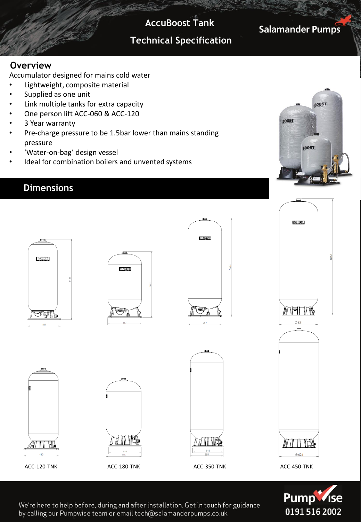**AccuBoost Tank**

## **Technical Specification**

**Salamander Pumps** 

#### **Overview**

Accumulator designed for mains cold water

- Lightweight, composite material
- Supplied as one unit
- Link multiple tanks for extra capacity
- One person lift ACC-060 & ACC-120
- 3 Year warranty
- Pre-charge pressure to be 1.5bar lower than mains standing pressure
- 'Water-on-bag' design vessel
- Ideal for combination boilers and unvented systems

#### **Dimensions**







We're here to help before, during and after installation. Get in touch for guidance by calling our Pumpwise team or email tech@salamanderpumps.co.uk